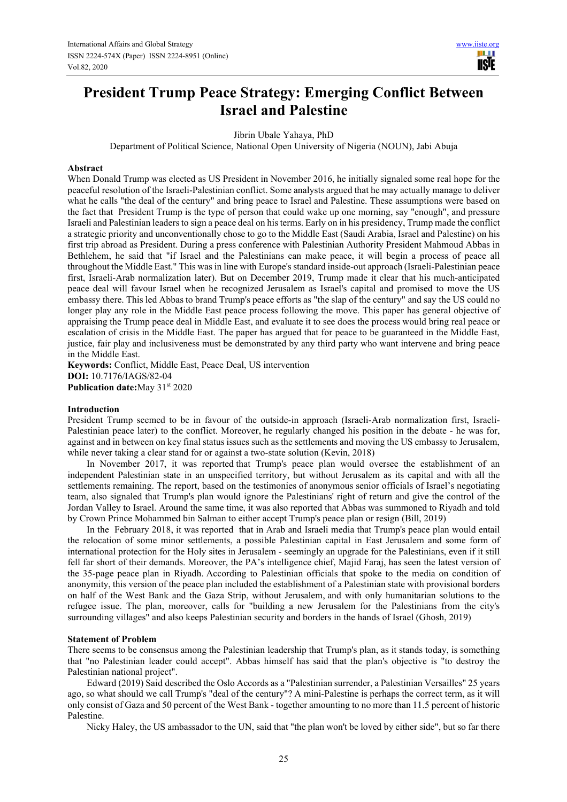# **President Trump Peace Strategy: Emerging Conflict Between Israel and Palestine**

Jibrin Ubale Yahaya, PhD

Department of Political Science, National Open University of Nigeria (NOUN), Jabi Abuja

# **Abstract**

When Donald Trump was elected as US President in November 2016, he initially signaled some real hope for the peaceful resolution of the Israeli-Palestinian conflict. Some analysts argued that he may actually manage to deliver what he calls "the deal of the century" and bring peace to Israel and Palestine. These assumptions were based on the fact that President Trump is the type of person that could wake up one morning, say "enough", and pressure Israeli and Palestinian leaders to sign a peace deal on his terms. Early on in his presidency, Trump made the conflict a strategic priority and unconventionally chose to go to the Middle East (Saudi Arabia, Israel and Palestine) on his first trip abroad as President. During a press conference with Palestinian Authority President Mahmoud Abbas in Bethlehem, he said that "if Israel and the Palestinians can make peace, it will begin a process of peace all throughout the Middle East." This was in line with Europe's standard inside-out approach (Israeli-Palestinian peace first, Israeli-Arab normalization later). But on December 2019, Trump made it clear that his much-anticipated peace deal will favour Israel when he recognized Jerusalem as Israel's capital and promised to move the US embassy there. This led Abbas to brand Trump's peace efforts as "the slap of the century" and say the US could no longer play any role in the Middle East peace process following the move. This paper has general objective of appraising the Trump peace deal in Middle East, and evaluate it to see does the process would bring real peace or escalation of crisis in the Middle East. The paper has argued that for peace to be guaranteed in the Middle East, justice, fair play and inclusiveness must be demonstrated by any third party who want intervene and bring peace in the Middle East.

**Keywords:** Conflict, Middle East, Peace Deal, US intervention **DOI:** 10.7176/IAGS/82-04 **Publication date:**May 31st 2020

# **Introduction**

President Trump seemed to be in favour of the outside-in approach (Israeli-Arab normalization first, Israeli-Palestinian peace later) to the conflict. Moreover, he regularly changed his position in the debate - he was for, against and in between on key final status issues such as the settlements and moving the US embassy to Jerusalem, while never taking a clear stand for or against a two-state solution (Kevin, 2018)

In November 2017, it was reported that Trump's peace plan would oversee the establishment of an independent Palestinian state in an unspecified territory, but without Jerusalem as its capital and with all the settlements remaining. The report, based on the testimonies of anonymous senior officials of Israel's negotiating team, also signaled that Trump's plan would ignore the Palestinians' right of return and give the control of the Jordan Valley to Israel. Around the same time, it was also reported that Abbas was summoned to Riyadh and told by Crown Prince Mohammed bin Salman to either accept Trump's peace plan or resign (Bill, 2019)

In the February 2018, it was reported that in Arab and Israeli media that Trump's peace plan would entail the relocation of some minor settlements, a possible Palestinian capital in East Jerusalem and some form of international protection for the Holy sites in Jerusalem - seemingly an upgrade for the Palestinians, even if it still fell far short of their demands. Moreover, the PA's intelligence chief, Majid Faraj, has seen the latest version of the 35-page peace plan in Riyadh. According to Palestinian officials that spoke to the media on condition of anonymity, this version of the peace plan included the establishment of a Palestinian state with provisional borders on half of the West Bank and the Gaza Strip, without Jerusalem, and with only humanitarian solutions to the refugee issue. The plan, moreover, calls for "building a new Jerusalem for the Palestinians from the city's surrounding villages" and also keeps Palestinian security and borders in the hands of Israel (Ghosh, 2019)

#### **Statement of Problem**

There seems to be consensus among the Palestinian leadership that Trump's plan, as it stands today, is something that "no Palestinian leader could accept". Abbas himself has said that the plan's objective is "to destroy the Palestinian national project".

Edward (2019) Said described the Oslo Accords as a "Palestinian surrender, a Palestinian Versailles" 25 years ago, so what should we call Trump's "deal of the century"? A mini-Palestine is perhaps the correct term, as it will only consist of Gaza and 50 percent of the West Bank - together amounting to no more than 11.5 percent of historic Palestine.

Nicky Haley, the US ambassador to the UN, said that "the plan won't be loved by either side", but so far there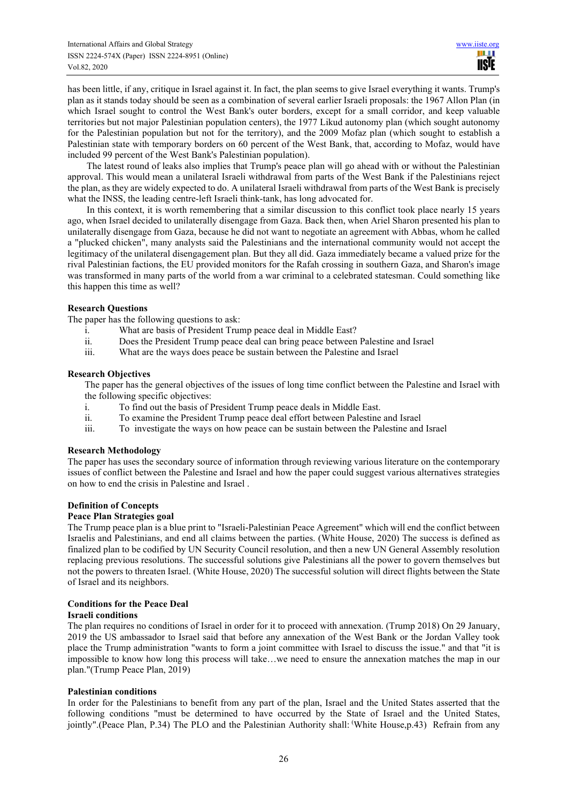has been little, if any, critique in Israel against it. In fact, the plan seems to give Israel everything it wants. Trump's plan as it stands today should be seen as a combination of several earlier Israeli proposals: the 1967 Allon Plan (in which Israel sought to control the West Bank's outer borders, except for a small corridor, and keep valuable territories but not major Palestinian population centers), the 1977 Likud autonomy plan (which sought autonomy for the Palestinian population but not for the territory), and the 2009 Mofaz plan (which sought to establish a Palestinian state with temporary borders on 60 percent of the West Bank, that, according to Mofaz, would have included 99 percent of the West Bank's Palestinian population).

The latest round of leaks also implies that Trump's peace plan will go ahead with or without the Palestinian approval. This would mean a unilateral Israeli withdrawal from parts of the West Bank if the Palestinians reject the plan, as they are widely expected to do. A unilateral Israeli withdrawal from parts of the West Bank is precisely what the INSS, the leading centre-left Israeli think-tank, has long advocated for.

In this context, it is worth remembering that a similar discussion to this conflict took place nearly 15 years ago, when Israel decided to unilaterally disengage from Gaza. Back then, when Ariel Sharon presented his plan to unilaterally disengage from Gaza, because he did not want to negotiate an agreement with Abbas, whom he called a "plucked chicken", many analysts said the Palestinians and the international community would not accept the legitimacy of the unilateral disengagement plan. But they all did. Gaza immediately became a valued prize for the rival Palestinian factions, the EU provided monitors for the Rafah crossing in southern Gaza, and Sharon's image was transformed in many parts of the world from a war criminal to a celebrated statesman. Could something like this happen this time as well?

# **Research Questions**

The paper has the following questions to ask:

- i. What are basis of President Trump peace deal in Middle East?
- ii. Does the President Trump peace deal can bring peace between Palestine and Israel
- iii. What are the ways does peace be sustain between the Palestine and Israel

# **Research Objectives**

The paper has the general objectives of the issues of long time conflict between the Palestine and Israel with the following specific objectives:

- i. To find out the basis of President Trump peace deals in Middle East.
- ii. To examine the President Trump peace deal effort between Palestine and Israel
- iii. To investigate the ways on how peace can be sustain between the Palestine and Israel

# **Research Methodology**

The paper has uses the secondary source of information through reviewing various literature on the contemporary issues of conflict between the Palestine and Israel and how the paper could suggest various alternatives strategies on how to end the crisis in Palestine and Israel .

# **Definition of Concepts**

# **Peace Plan Strategies goal**

The Trump peace plan is a blue print to "Israeli-Palestinian Peace Agreement" which will end the conflict between Israelis and Palestinians, and end all claims between the parties. (White House, 2020) The success is defined as finalized plan to be codified by UN Security Council resolution, and then a new UN General Assembly resolution replacing previous resolutions. The successful solutions give Palestinians all the power to govern themselves but not the powers to threaten Israel. (White House, 2020) The successful solution will direct flights between the State of Israel and its neighbors.

# **Conditions for the Peace Deal**

# **Israeli conditions**

The plan requires no conditions of Israel in order for it to proceed with annexation. (Trump 2018) On 29 January, 2019 the US ambassador to Israel said that before any annexation of the West Bank or the Jordan Valley took place the Trump administration "wants to form a joint committee with Israel to discuss the issue." and that "it is impossible to know how long this process will take…we need to ensure the annexation matches the map in our plan."(Trump Peace Plan, 2019)

# **Palestinian conditions**

In order for the Palestinians to benefit from any part of the plan, Israel and the United States asserted that the following conditions "must be determined to have occurred by the State of Israel and the United States, jointly".(Peace Plan, P.34) The PLO and the Palestinian Authority shall: (White House,p.43) Refrain from any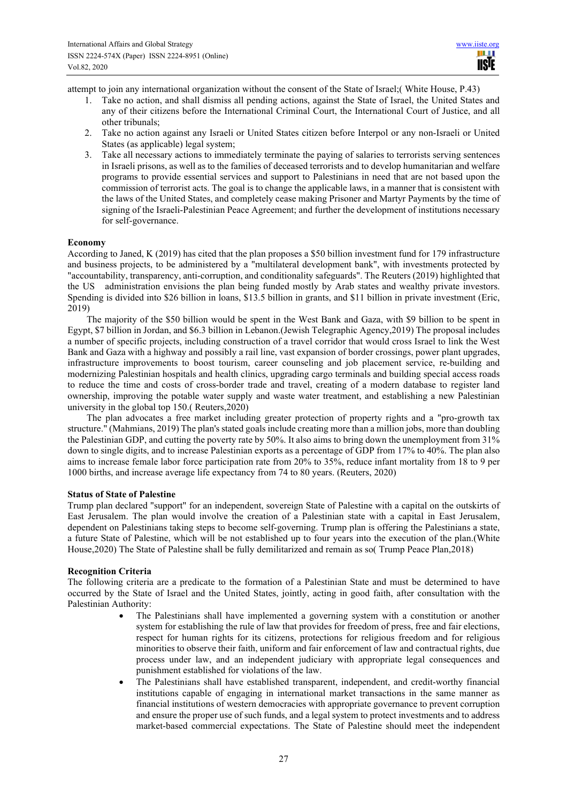attempt to join any international organization without the consent of the State of Israel;( White House, P.43)

- 1. Take no action, and shall dismiss all pending actions, against the State of Israel, the United States and any of their citizens before the International Criminal Court, the International Court of Justice, and all other tribunals;
- 2. Take no action against any Israeli or United States citizen before Interpol or any non-Israeli or United States (as applicable) legal system;
- 3. Take all necessary actions to immediately terminate the paying of salaries to terrorists serving sentences in Israeli prisons, as well as to the families of deceased terrorists and to develop humanitarian and welfare programs to provide essential services and support to Palestinians in need that are not based upon the commission of terrorist acts. The goal is to change the applicable laws, in a manner that is consistent with the laws of the United States, and completely cease making Prisoner and Martyr Payments by the time of signing of the Israeli-Palestinian Peace Agreement; and further the development of institutions necessary for self-governance.

# **Economy**

According to Janed, K (2019) has cited that the plan proposes a \$50 billion investment fund for 179 infrastructure and business projects, to be administered by a "multilateral development bank", with investments protected by "accountability, transparency, anti-corruption, and conditionality safeguards". The Reuters (2019) highlighted that the US administration envisions the plan being funded mostly by Arab states and wealthy private investors. Spending is divided into \$26 billion in loans, \$13.5 billion in grants, and \$11 billion in private investment (Eric, 2019)

The majority of the \$50 billion would be spent in the West Bank and Gaza, with \$9 billion to be spent in Egypt, \$7 billion in Jordan, and \$6.3 billion in Lebanon.(Jewish Telegraphic Agency,2019) The proposal includes a number of specific projects, including construction of a travel corridor that would cross Israel to link the West Bank and Gaza with a highway and possibly a rail line, vast expansion of border crossings, power plant upgrades, infrastructure improvements to boost tourism, career counseling and job placement service, re-building and modernizing Palestinian hospitals and health clinics, upgrading cargo terminals and building special access roads to reduce the time and costs of cross-border trade and travel, creating of a modern database to register land ownership, improving the potable water supply and waste water treatment, and establishing a new Palestinian university in the global top 150.( Reuters,2020)

The plan advocates a free market including greater protection of property rights and a "pro-growth tax structure." (Mahmians, 2019) The plan's stated goals include creating more than a million jobs, more than doubling the Palestinian GDP, and cutting the poverty rate by 50%. It also aims to bring down the unemployment from 31% down to single digits, and to increase Palestinian exports as a percentage of GDP from 17% to 40%. The plan also aims to increase female labor force participation rate from 20% to 35%, reduce infant mortality from 18 to 9 per 1000 births, and increase average life expectancy from 74 to 80 years. (Reuters, 2020)

# **Status of State of Palestine**

Trump plan declared "support" for an independent, sovereign State of Palestine with a capital on the outskirts of East Jerusalem. The plan would involve the creation of a Palestinian state with a capital in East Jerusalem, dependent on Palestinians taking steps to become self-governing. Trump plan is offering the Palestinians a state, a future State of Palestine, which will be not established up to four years into the execution of the plan.(White House,2020) The State of Palestine shall be fully demilitarized and remain as so( Trump Peace Plan,2018)

# **Recognition Criteria**

The following criteria are a predicate to the formation of a Palestinian State and must be determined to have occurred by the State of Israel and the United States, jointly, acting in good faith, after consultation with the Palestinian Authority:

- The Palestinians shall have implemented a governing system with a constitution or another system for establishing the rule of law that provides for freedom of press, free and fair elections, respect for human rights for its citizens, protections for religious freedom and for religious minorities to observe their faith, uniform and fair enforcement of law and contractual rights, due process under law, and an independent judiciary with appropriate legal consequences and punishment established for violations of the law.
- The Palestinians shall have established transparent, independent, and credit-worthy financial institutions capable of engaging in international market transactions in the same manner as financial institutions of western democracies with appropriate governance to prevent corruption and ensure the proper use of such funds, and a legal system to protect investments and to address market-based commercial expectations. The State of Palestine should meet the independent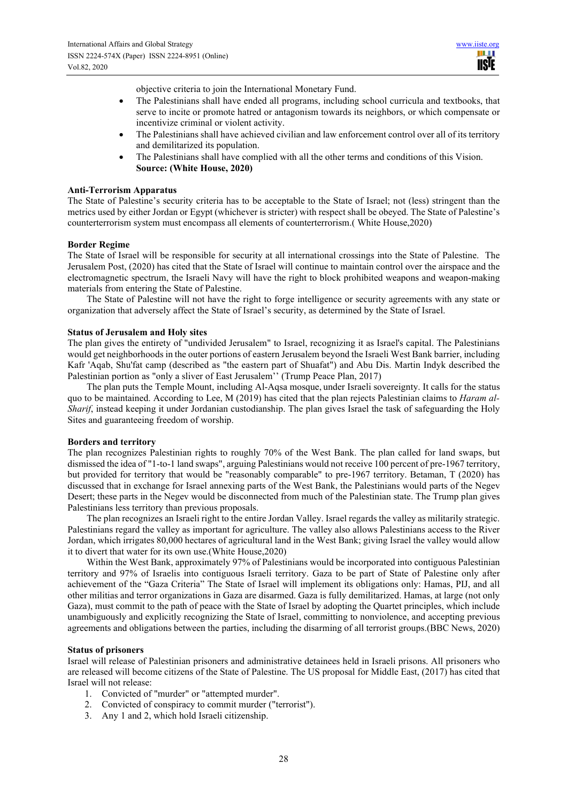**IISTE** 

objective criteria to join the International Monetary Fund.

- The Palestinians shall have ended all programs, including school curricula and textbooks, that serve to incite or promote hatred or antagonism towards its neighbors, or which compensate or incentivize criminal or violent activity.
- The Palestinians shall have achieved civilian and law enforcement control over all of its territory and demilitarized its population.
- The Palestinians shall have complied with all the other terms and conditions of this Vision. **Source: (White House, 2020)**

# **Anti-Terrorism Apparatus**

The State of Palestine's security criteria has to be acceptable to the State of Israel; not (less) stringent than the metrics used by either Jordan or Egypt (whichever is stricter) with respect shall be obeyed. The State of Palestine's counterterrorism system must encompass all elements of counterterrorism.( White House,2020)

#### **Border Regime**

The State of Israel will be responsible for security at all international crossings into the State of Palestine. The Jerusalem Post, (2020) has cited that the State of Israel will continue to maintain control over the airspace and the electromagnetic spectrum, the Israeli Navy will have the right to block prohibited weapons and weapon-making materials from entering the State of Palestine.

The State of Palestine will not have the right to forge intelligence or security agreements with any state or organization that adversely affect the State of Israel's security, as determined by the State of Israel.

#### **Status of Jerusalem and Holy sites**

The plan gives the entirety of "undivided Jerusalem" to Israel, recognizing it as Israel's capital. The Palestinians would get neighborhoods in the outer portions of eastern Jerusalem beyond the Israeli West Bank barrier, including Kafr 'Aqab, Shu'fat camp (described as "the eastern part of Shuafat") and Abu Dis. Martin Indyk described the Palestinian portion as "only a sliver of East Jerusalem'' (Trump Peace Plan, 2017)

The plan puts the Temple Mount, including Al-Aqsa mosque, under Israeli sovereignty. It calls for the status quo to be maintained. According to Lee, M (2019) has cited that the plan rejects Palestinian claims to *Haram al-Sharif*, instead keeping it under Jordanian custodianship. The plan gives Israel the task of safeguarding the Holy Sites and guaranteeing freedom of worship.

#### **Borders and territory**

The plan recognizes Palestinian rights to roughly 70% of the West Bank. The plan called for land swaps, but dismissed the idea of "1-to-1 land swaps", arguing Palestinians would not receive 100 percent of pre-1967 territory, but provided for territory that would be "reasonably comparable" to pre-1967 territory. Betaman, T (2020) has discussed that in exchange for Israel annexing parts of the West Bank, the Palestinians would parts of the Negev Desert; these parts in the Negev would be disconnected from much of the Palestinian state. The Trump plan gives Palestinians less territory than previous proposals.

The plan recognizes an Israeli right to the entire Jordan Valley. Israel regards the valley as militarily strategic. Palestinians regard the valley as important for agriculture. The valley also allows Palestinians access to the River Jordan, which irrigates 80,000 hectares of agricultural land in the West Bank; giving Israel the valley would allow it to divert that water for its own use.(White House,2020)

Within the West Bank, approximately 97% of Palestinians would be incorporated into contiguous Palestinian territory and 97% of Israelis into contiguous Israeli territory. Gaza to be part of State of Palestine only after achievement of the "Gaza Criteria" The State of Israel will implement its obligations only: Hamas, PIJ, and all other militias and terror organizations in Gaza are disarmed. Gaza is fully demilitarized. Hamas, at large (not only Gaza), must commit to the path of peace with the State of Israel by adopting the Quartet principles, which include unambiguously and explicitly recognizing the State of Israel, committing to nonviolence, and accepting previous agreements and obligations between the parties, including the disarming of all terrorist groups.(BBC News, 2020)

# **Status of prisoners**

Israel will release of Palestinian prisoners and administrative detainees held in Israeli prisons. All prisoners who are released will become citizens of the State of Palestine. The US proposal for Middle East, (2017) has cited that Israel will not release:

- 1. Convicted of "murder" or "attempted murder".
- 2. Convicted of conspiracy to commit murder ("terrorist").
- 3. Any 1 and 2, which hold Israeli citizenship.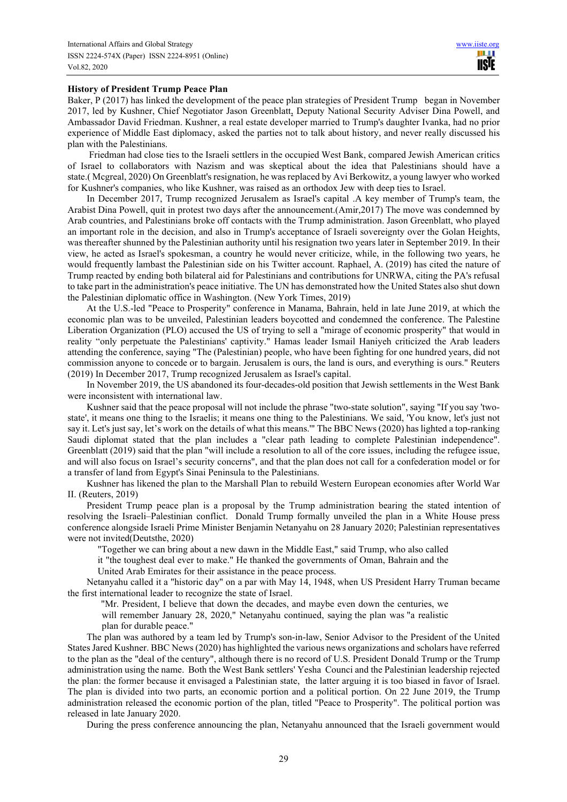# **History of President Trump Peace Plan**

Baker, P (2017) has linked the development of the peace plan strategies of President Trump began in November 2017, led by Kushner, Chief Negotiator Jason Greenblatt, Deputy National Security Adviser Dina Powell, and Ambassador David Friedman. Kushner, a real estate developer married to Trump's daughter Ivanka, had no prior experience of Middle East diplomacy, asked the parties not to talk about history, and never really discussed his plan with the Palestinians.

 Friedman had close ties to the Israeli settlers in the occupied West Bank, compared Jewish American critics of Israel to collaborators with Nazism and was skeptical about the idea that Palestinians should have a state.( Mcgreal, 2020) On Greenblatt's resignation, he was replaced by Avi Berkowitz, a young lawyer who worked for Kushner's companies, who like Kushner, was raised as an orthodox Jew with deep ties to Israel.

In December 2017, Trump recognized Jerusalem as Israel's capital .A key member of Trump's team, the Arabist Dina Powell, quit in protest two days after the announcement.(Amir,2017) The move was condemned by Arab countries, and Palestinians broke off contacts with the Trump administration. Jason Greenblatt, who played an important role in the decision, and also in Trump's acceptance of Israeli sovereignty over the Golan Heights, was thereafter shunned by the Palestinian authority until his resignation two years later in September 2019. In their view, he acted as Israel's spokesman, a country he would never criticize, while, in the following two years, he would frequently lambast the Palestinian side on his Twitter account. Raphael, A. (2019) has cited the nature of Trump reacted by ending both bilateral aid for Palestinians and contributions for UNRWA, citing the PA's refusal to take part in the administration's peace initiative. The UN has demonstrated how the United States also shut down the Palestinian diplomatic office in Washington. (New York Times, 2019)

At the U.S.-led "Peace to Prosperity" conference in Manama, Bahrain, held in late June 2019, at which the economic plan was to be unveiled, Palestinian leaders boycotted and condemned the conference. The Palestine Liberation Organization (PLO) accused the US of trying to sell a "mirage of economic prosperity" that would in reality "only perpetuate the Palestinians' captivity." Hamas leader Ismail Haniyeh criticized the Arab leaders attending the conference, saying "The (Palestinian) people, who have been fighting for one hundred years, did not commission anyone to concede or to bargain. Jerusalem is ours, the land is ours, and everything is ours." Reuters (2019) In December 2017, Trump recognized Jerusalem as Israel's capital.

In November 2019, the US abandoned its four-decades-old position that Jewish settlements in the West Bank were inconsistent with international law.

Kushner said that the peace proposal will not include the phrase "two-state solution", saying "If you say 'twostate', it means one thing to the Israelis; it means one thing to the Palestinians. We said, 'You know, let's just not say it. Let's just say, let's work on the details of what this means.'" The BBC News (2020) has lighted a top-ranking Saudi diplomat stated that the plan includes a "clear path leading to complete Palestinian independence". Greenblatt (2019) said that the plan "will include a resolution to all of the core issues, including the refugee issue, and will also focus on Israel's security concerns", and that the plan does not call for a confederation model or for a transfer of land from Egypt's Sinai Peninsula to the Palestinians.

Kushner has likened the plan to the Marshall Plan to rebuild Western European economies after World War II. (Reuters, 2019)

President Trump peace plan is a proposal by the Trump administration bearing the stated intention of resolving the Israeli–Palestinian conflict. Donald Trump formally unveiled the plan in a White House press conference alongside Israeli Prime Minister Benjamin Netanyahu on 28 January 2020; Palestinian representatives were not invited(Deutsthe, 2020)

"Together we can bring about a new dawn in the Middle East," said Trump, who also called

it "the toughest deal ever to make." He thanked the governments of Oman, Bahrain and the

United Arab Emirates for their assistance in the peace process.

Netanyahu called it a "historic day" on a par with May 14, 1948, when US President Harry Truman became the first international leader to recognize the state of Israel.

 "Mr. President, I believe that down the decades, and maybe even down the centuries, we will remember January 28, 2020," Netanyahu continued, saying the plan was "a realistic

plan for durable peace."

The plan was authored by a team led by Trump's son-in-law, Senior Advisor to the President of the United States Jared Kushner. BBC News (2020) has highlighted the various news organizations and scholars have referred to the plan as the "deal of the century", although there is no record of U.S. President Donald Trump or the Trump administration using the name. Both the West Bank settlers' Yesha Counci and the Palestinian leadership rejected the plan: the former because it envisaged a Palestinian state, the latter arguing it is too biased in favor of Israel. The plan is divided into two parts, an economic portion and a political portion. On 22 June 2019, the Trump administration released the economic portion of the plan, titled "Peace to Prosperity". The political portion was released in late January 2020.

During the press conference announcing the plan, Netanyahu announced that the Israeli government would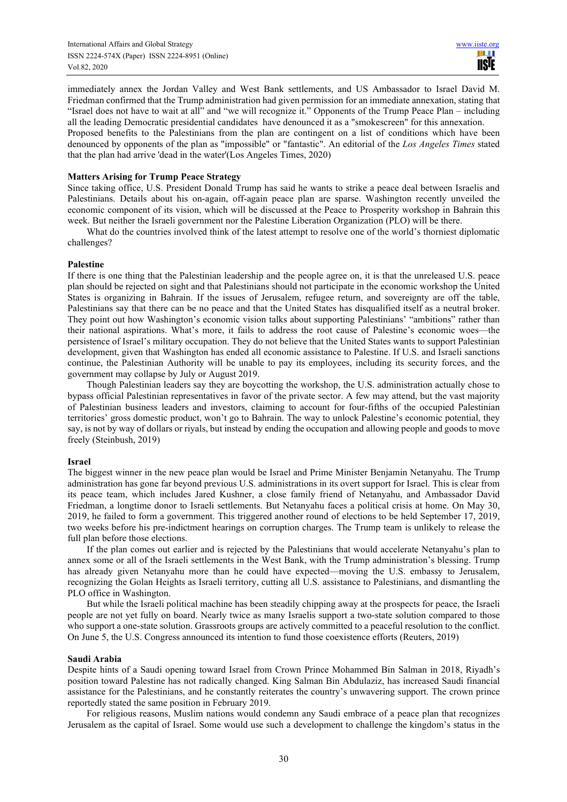immediately annex the Jordan Valley and West Bank settlements, and US Ambassador to Israel David M. Friedman confirmed that the Trump administration had given permission for an immediate annexation, stating that "Israel does not have to wait at all" and "we will recognize it." Opponents of the Trump Peace Plan – including all the leading Democratic presidential candidates have denounced it as a "smokescreen" for this annexation. Proposed benefits to the Palestinians from the plan are contingent on a list of conditions which have been denounced by opponents of the plan as "impossible" or "fantastic". An editorial of the *Los Angeles Times* stated

# **Matters Arising for Trump Peace Strategy**

that the plan had arrive 'dead in the water'(Los Angeles Times, 2020)

Since taking office, U.S. President Donald Trump has said he wants to strike a peace deal between Israelis and Palestinians. Details about his on-again, off-again peace plan are sparse. Washington recently unveiled the economic component of its vision, which will be discussed at the Peace to Prosperity workshop in Bahrain this week. But neither the Israeli government nor the Palestine Liberation Organization (PLO) will be there.

What do the countries involved think of the latest attempt to resolve one of the world's thorniest diplomatic challenges?

# **Palestine**

If there is one thing that the Palestinian leadership and the people agree on, it is that the unreleased U.S. peace plan should be rejected on sight and that Palestinians should not participate in the economic workshop the United States is organizing in Bahrain. If the issues of Jerusalem, refugee return, and sovereignty are off the table, Palestinians say that there can be no peace and that the United States has disqualified itself as a neutral broker. They point out how Washington's economic vision talks about supporting Palestinians' "ambitions" rather than their national aspirations. What's more, it fails to address the root cause of Palestine's economic woes—the persistence of Israel's military occupation. They do not believe that the United States wants to support Palestinian development, given that Washington has ended all economic assistance to Palestine. If U.S. and Israeli sanctions continue, the Palestinian Authority will be unable to pay its employees, including its security forces, and the government may collapse by July or August 2019.

Though Palestinian leaders say they are boycotting the workshop, the U.S. administration actually chose to bypass official Palestinian representatives in favor of the private sector. A few may attend, but the vast majority of Palestinian business leaders and investors, claiming to account for four-fifths of the occupied Palestinian territories' gross domestic product, won't go to Bahrain. The way to unlock Palestine's economic potential, they say, is not by way of dollars or riyals, but instead by ending the occupation and allowing people and goods to move freely (Steinbush, 2019)

#### **Israel**

The biggest winner in the new peace plan would be Israel and Prime Minister Benjamin Netanyahu. The Trump administration has gone far beyond previous U.S. administrations in its overt support for Israel. This is clear from its peace team, which includes Jared Kushner, a close family friend of Netanyahu, and Ambassador David Friedman, a longtime donor to Israeli settlements. But Netanyahu faces a political crisis at home. On May 30, 2019, he failed to form a government. This triggered another round of elections to be held September 17, 2019, two weeks before his pre-indictment hearings on corruption charges. The Trump team is unlikely to release the full plan before those elections.

If the plan comes out earlier and is rejected by the Palestinians that would accelerate Netanyahu's plan to annex some or all of the Israeli settlements in the West Bank, with the Trump administration's blessing. Trump has already given Netanyahu more than he could have expected—moving the U.S. embassy to Jerusalem, recognizing the Golan Heights as Israeli territory, cutting all U.S. assistance to Palestinians, and dismantling the PLO office in Washington.

But while the Israeli political machine has been steadily chipping away at the prospects for peace, the Israeli people are not yet fully on board. Nearly twice as many Israelis support a two-state solution compared to those who support a one-state solution. Grassroots groups are actively committed to a peaceful resolution to the conflict. On June 5, the U.S. Congress announced its intention to fund those coexistence efforts (Reuters, 2019)

#### **Saudi Arabia**

Despite hints of a Saudi opening toward Israel from Crown Prince Mohammed Bin Salman in 2018, Riyadh's position toward Palestine has not radically changed. King Salman Bin Abdulaziz, has increased Saudi financial assistance for the Palestinians, and he constantly reiterates the country's unwavering support. The crown prince reportedly stated the same position in February 2019.

For religious reasons, Muslim nations would condemn any Saudi embrace of a peace plan that recognizes Jerusalem as the capital of Israel. Some would use such a development to challenge the kingdom's status in the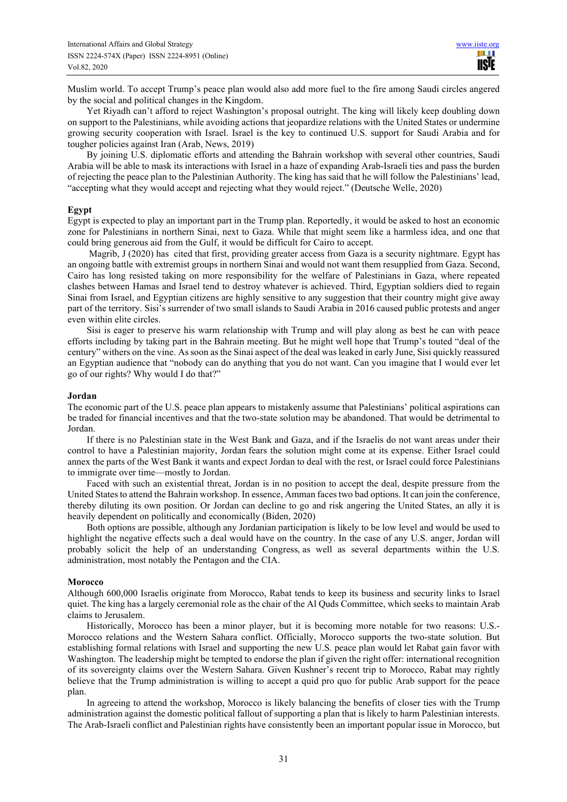Muslim world. To accept Trump's peace plan would also add more fuel to the fire among Saudi circles angered by the social and political changes in the Kingdom.

Yet Riyadh can't afford to reject Washington's proposal outright. The king will likely keep doubling down on support to the Palestinians, while avoiding actions that jeopardize relations with the United States or undermine growing security cooperation with Israel. Israel is the key to continued U.S. support for Saudi Arabia and for tougher policies against Iran (Arab, News, 2019)

By joining U.S. diplomatic efforts and attending the Bahrain workshop with several other countries, Saudi Arabia will be able to mask its interactions with Israel in a haze of expanding Arab-Israeli ties and pass the burden of rejecting the peace plan to the Palestinian Authority. The king has said that he will follow the Palestinians' lead, "accepting what they would accept and rejecting what they would reject." (Deutsche Welle, 2020)

# **Egypt**

Egypt is expected to play an important part in the Trump plan. Reportedly, it would be asked to host an economic zone for Palestinians in northern Sinai, next to Gaza. While that might seem like a harmless idea, and one that could bring generous aid from the Gulf, it would be difficult for Cairo to accept.

 Magrib, J (2020) has cited that first, providing greater access from Gaza is a security nightmare. Egypt has an ongoing battle with extremist groups in northern Sinai and would not want them resupplied from Gaza. Second, Cairo has long resisted taking on more responsibility for the welfare of Palestinians in Gaza, where repeated clashes between Hamas and Israel tend to destroy whatever is achieved. Third, Egyptian soldiers died to regain Sinai from Israel, and Egyptian citizens are highly sensitive to any suggestion that their country might give away part of the territory. Sisi's surrender of two small islands to Saudi Arabia in 2016 caused public protests and anger even within elite circles.

Sisi is eager to preserve his warm relationship with Trump and will play along as best he can with peace efforts including by taking part in the Bahrain meeting. But he might well hope that Trump's touted "deal of the century" withers on the vine. As soon as the Sinai aspect of the deal was leaked in early June, Sisi quickly reassured an Egyptian audience that "nobody can do anything that you do not want. Can you imagine that I would ever let go of our rights? Why would I do that?"

#### **Jordan**

The economic part of the U.S. peace plan appears to mistakenly assume that Palestinians' political aspirations can be traded for financial incentives and that the two-state solution may be abandoned. That would be detrimental to Jordan.

If there is no Palestinian state in the West Bank and Gaza, and if the Israelis do not want areas under their control to have a Palestinian majority, Jordan fears the solution might come at its expense. Either Israel could annex the parts of the West Bank it wants and expect Jordan to deal with the rest, or Israel could force Palestinians to immigrate over time—mostly to Jordan.

Faced with such an existential threat, Jordan is in no position to accept the deal, despite pressure from the United States to attend the Bahrain workshop. In essence, Amman faces two bad options. It can join the conference, thereby diluting its own position. Or Jordan can decline to go and risk angering the United States, an ally it is heavily dependent on politically and economically (Biden, 2020)

Both options are possible, although any Jordanian participation is likely to be low level and would be used to highlight the negative effects such a deal would have on the country. In the case of any U.S. anger, Jordan will probably solicit the help of an understanding Congress, as well as several departments within the U.S. administration, most notably the Pentagon and the CIA.

# **Morocco**

Although 600,000 Israelis originate from Morocco, Rabat tends to keep its business and security links to Israel quiet. The king has a largely ceremonial role as the chair of the Al Quds Committee, which seeks to maintain Arab claims to Jerusalem.

Historically, Morocco has been a minor player, but it is becoming more notable for two reasons: U.S.- Morocco relations and the Western Sahara conflict. Officially, Morocco supports the two-state solution. But establishing formal relations with Israel and supporting the new U.S. peace plan would let Rabat gain favor with Washington. The leadership might be tempted to endorse the plan if given the right offer: international recognition of its sovereignty claims over the Western Sahara. Given Kushner's recent trip to Morocco, Rabat may rightly believe that the Trump administration is willing to accept a quid pro quo for public Arab support for the peace plan.

In agreeing to attend the workshop, Morocco is likely balancing the benefits of closer ties with the Trump administration against the domestic political fallout of supporting a plan that is likely to harm Palestinian interests. The Arab-Israeli conflict and Palestinian rights have consistently been an important popular issue in Morocco, but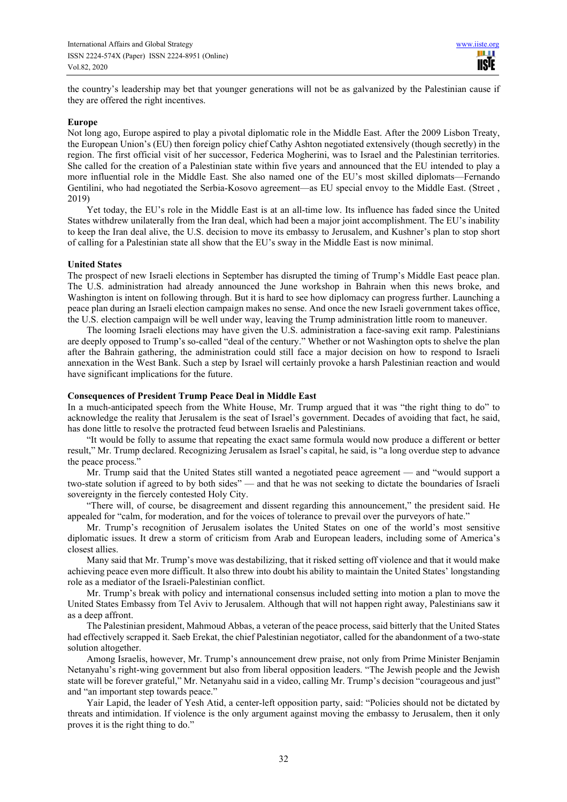the country's leadership may bet that younger generations will not be as galvanized by the Palestinian cause if they are offered the right incentives.

# **Europe**

Not long ago, Europe aspired to play a pivotal diplomatic role in the Middle East. After the 2009 Lisbon Treaty, the European Union's (EU) then foreign policy chief Cathy Ashton negotiated extensively (though secretly) in the region. The first official visit of her successor, Federica Mogherini, was to Israel and the Palestinian territories. She called for the creation of a Palestinian state within five years and announced that the EU intended to play a more influential role in the Middle East. She also named one of the EU's most skilled diplomats—Fernando Gentilini, who had negotiated the Serbia-Kosovo agreement—as EU special envoy to the Middle East. (Street , 2019)

Yet today, the EU's role in the Middle East is at an all-time low. Its influence has faded since the United States withdrew unilaterally from the Iran deal, which had been a major joint accomplishment. The EU's inability to keep the Iran deal alive, the U.S. decision to move its embassy to Jerusalem, and Kushner's plan to stop short of calling for a Palestinian state all show that the EU's sway in the Middle East is now minimal.

# **United States**

The prospect of new Israeli elections in September has disrupted the timing of Trump's Middle East peace plan. The U.S. administration had already announced the June workshop in Bahrain when this news broke, and Washington is intent on following through. But it is hard to see how diplomacy can progress further. Launching a peace plan during an Israeli election campaign makes no sense. And once the new Israeli government takes office, the U.S. election campaign will be well under way, leaving the Trump administration little room to maneuver.

The looming Israeli elections may have given the U.S. administration a face-saving exit ramp. Palestinians are deeply opposed to Trump's so-called "deal of the century." Whether or not Washington opts to shelve the plan after the Bahrain gathering, the administration could still face a major decision on how to respond to Israeli annexation in the West Bank. Such a step by Israel will certainly provoke a harsh Palestinian reaction and would have significant implications for the future.

# **Consequences of President Trump Peace Deal in Middle East**

In a much-anticipated speech from the White House, Mr. Trump argued that it was "the right thing to do" to acknowledge the reality that Jerusalem is the seat of Israel's government. Decades of avoiding that fact, he said, has done little to resolve the protracted feud between Israelis and Palestinians.

"It would be folly to assume that repeating the exact same formula would now produce a different or better result," Mr. Trump declared. Recognizing Jerusalem as Israel's capital, he said, is "a long overdue step to advance the peace process."

Mr. Trump said that the United States still wanted a negotiated peace agreement — and "would support a two-state solution if agreed to by both sides" — and that he was not seeking to dictate the boundaries of Israeli sovereignty in the fiercely contested Holy City.

"There will, of course, be disagreement and dissent regarding this announcement," the president said. He appealed for "calm, for moderation, and for the voices of tolerance to prevail over the purveyors of hate."

Mr. Trump's recognition of Jerusalem isolates the United States on one of the world's most sensitive diplomatic issues. It drew a storm of criticism from Arab and European leaders, including some of America's closest allies.

Many said that Mr. Trump's move was destabilizing, that it risked setting off violence and that it would make achieving peace even more difficult. It also threw into doubt his ability to maintain the United States' longstanding role as a mediator of the Israeli-Palestinian conflict.

Mr. Trump's break with policy and international consensus included setting into motion a plan to move the United States Embassy from Tel Aviv to Jerusalem. Although that will not happen right away, Palestinians saw it as a deep affront.

The Palestinian president, Mahmoud Abbas, a veteran of the peace process, said bitterly that the United States had effectively scrapped it. Saeb Erekat, the chief Palestinian negotiator, called for the abandonment of a two-state solution altogether.

Among Israelis, however, Mr. Trump's announcement drew praise, not only from Prime Minister Benjamin Netanyahu's right-wing government but also from liberal opposition leaders. "The Jewish people and the Jewish state will be forever grateful," Mr. Netanyahu said in a video, calling Mr. Trump's decision "courageous and just" and "an important step towards peace."

Yair Lapid, the leader of Yesh Atid, a center-left opposition party, said: "Policies should not be dictated by threats and intimidation. If violence is the only argument against moving the embassy to Jerusalem, then it only proves it is the right thing to do."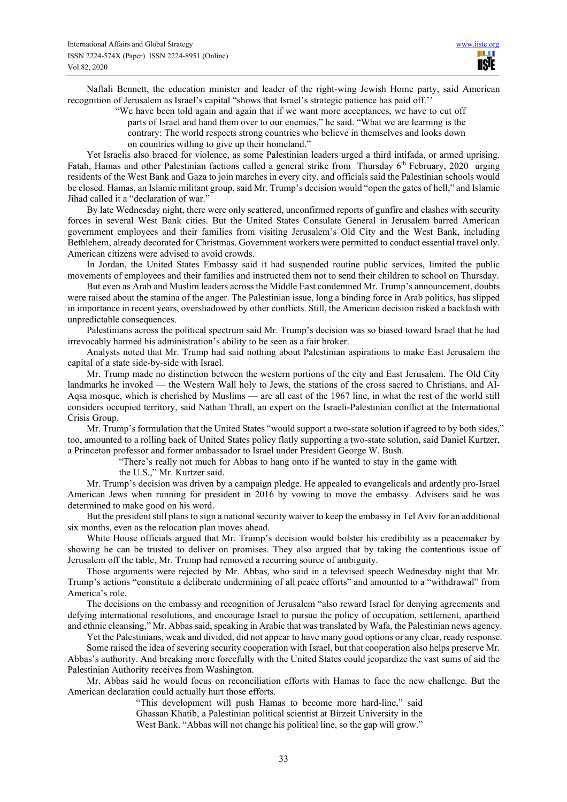Naftali Bennett, the education minister and leader of the right-wing Jewish Home party, said American recognition of Jerusalem as Israel's capital "shows that Israel's strategic patience has paid off.''

> "We have been told again and again that if we want more acceptances, we have to cut off parts of Israel and hand them over to our enemies," he said. "What we are learning is the contrary: The world respects strong countries who believe in themselves and looks down on countries willing to give up their homeland."

Yet Israelis also braced for violence, as some Palestinian leaders urged a third intifada, or armed uprising. Fatah, Hamas and other Palestinian factions called a general strike from Thursday 6<sup>th</sup> February, 2020 urging residents of the West Bank and Gaza to join marches in every city, and officials said the Palestinian schools would be closed. Hamas, an Islamic militant group, said Mr. Trump's decision would "open the gates of hell," and Islamic Jihad called it a "declaration of war."

By late Wednesday night, there were only scattered, unconfirmed reports of gunfire and clashes with security forces in several West Bank cities. But the United States Consulate General in Jerusalem barred American government employees and their families from visiting Jerusalem's Old City and the West Bank, including Bethlehem, already decorated for Christmas. Government workers were permitted to conduct essential travel only. American citizens were advised to avoid crowds.

In Jordan, the United States Embassy said it had suspended routine public services, limited the public movements of employees and their families and instructed them not to send their children to school on Thursday.

But even as Arab and Muslim leaders across the Middle East condemned Mr. Trump's announcement, doubts were raised about the stamina of the anger. The Palestinian issue, long a binding force in Arab politics, has slipped in importance in recent years, overshadowed by other conflicts. Still, the American decision risked a backlash with unpredictable consequences.

Palestinians across the political spectrum said Mr. Trump's decision was so biased toward Israel that he had irrevocably harmed his administration's ability to be seen as a fair broker.

Analysts noted that Mr. Trump had said nothing about Palestinian aspirations to make East Jerusalem the capital of a state side-by-side with Israel.

Mr. Trump made no distinction between the western portions of the city and East Jerusalem. The Old City landmarks he invoked — the Western Wall holy to Jews, the stations of the cross sacred to Christians, and Al-Aqsa mosque, which is cherished by Muslims — are all east of the 1967 line, in what the rest of the world still considers occupied territory, said Nathan Thrall, an expert on the Israeli-Palestinian conflict at the International Crisis Group.

Mr. Trump's formulation that the United States "would support a two-state solution if agreed to by both sides," too, amounted to a rolling back of United States policy flatly supporting a two-state solution, said Daniel Kurtzer, a Princeton professor and former ambassador to Israel under President George W. Bush.

"There's really not much for Abbas to hang onto if he wanted to stay in the game with

the U.S.," Mr. Kurtzer said.

Mr. Trump's decision was driven by a campaign pledge. He appealed to evangelicals and ardently pro-Israel American Jews when running for president in 2016 by vowing to move the embassy. Advisers said he was determined to make good on his word.

But the president still plans to sign a national security waiver to keep the embassy in Tel Aviv for an additional six months, even as the relocation plan moves ahead.

White House officials argued that Mr. Trump's decision would bolster his credibility as a peacemaker by showing he can be trusted to deliver on promises. They also argued that by taking the contentious issue of Jerusalem off the table, Mr. Trump had removed a recurring source of ambiguity.

Those arguments were rejected by Mr. Abbas, who said in a televised speech Wednesday night that Mr. Trump's actions "constitute a deliberate undermining of all peace efforts" and amounted to a "withdrawal" from America's role.

The decisions on the embassy and recognition of Jerusalem "also reward Israel for denying agreements and defying international resolutions, and encourage Israel to pursue the policy of occupation, settlement, apartheid and ethnic cleansing," Mr. Abbas said, speaking in Arabic that was translated by Wafa, the Palestinian news agency.

Yet the Palestinians, weak and divided, did not appear to have many good options or any clear, ready response.

Some raised the idea of severing security cooperation with Israel, but that cooperation also helps preserve Mr. Abbas's authority. And breaking more forcefully with the United States could jeopardize the vast sums of aid the Palestinian Authority receives from Washington.

Mr. Abbas said he would focus on reconciliation efforts with Hamas to face the new challenge. But the American declaration could actually hurt those efforts.

> "This development will push Hamas to become more hard-line," said Ghassan Khatib, a Palestinian political scientist at Birzeit University in the West Bank. "Abbas will not change his political line, so the gap will grow."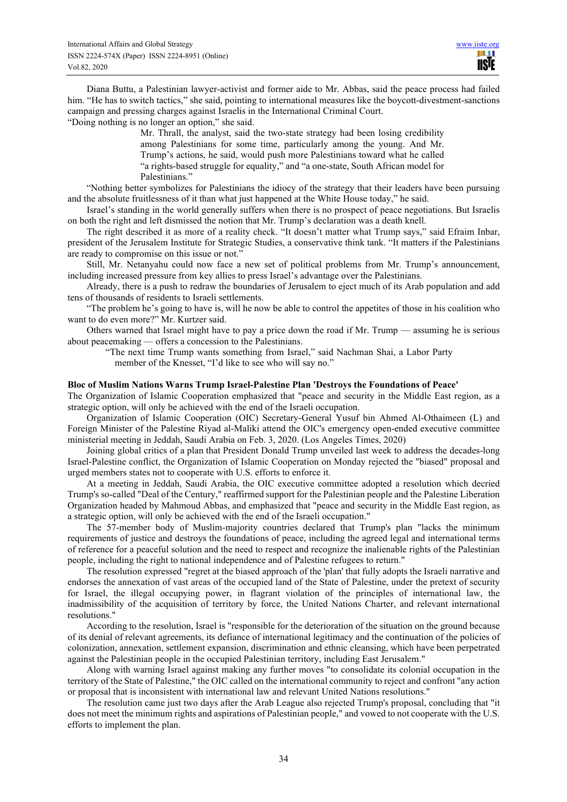Diana Buttu, a Palestinian lawyer-activist and former aide to Mr. Abbas, said the peace process had failed him. "He has to switch tactics," she said, pointing to international measures like the boycott-divestment-sanctions campaign and pressing charges against Israelis in the International Criminal Court.

"Doing nothing is no longer an option," she said.

Mr. Thrall, the analyst, said the two-state strategy had been losing credibility among Palestinians for some time, particularly among the young. And Mr. Trump's actions, he said, would push more Palestinians toward what he called "a rights-based struggle for equality," and "a one-state, South African model for Palestinians."

"Nothing better symbolizes for Palestinians the idiocy of the strategy that their leaders have been pursuing and the absolute fruitlessness of it than what just happened at the White House today," he said.

Israel's standing in the world generally suffers when there is no prospect of peace negotiations. But Israelis on both the right and left dismissed the notion that Mr. Trump's declaration was a death knell.

The right described it as more of a reality check. "It doesn't matter what Trump says," said Efraim Inbar, president of the Jerusalem Institute for Strategic Studies, a conservative think tank. "It matters if the Palestinians are ready to compromise on this issue or not."

Still, Mr. Netanyahu could now face a new set of political problems from Mr. Trump's announcement, including increased pressure from key allies to press Israel's advantage over the Palestinians.

Already, there is a push to redraw the boundaries of Jerusalem to eject much of its Arab population and add tens of thousands of residents to Israeli settlements.

"The problem he's going to have is, will he now be able to control the appetites of those in his coalition who want to do even more?" Mr. Kurtzer said.

Others warned that Israel might have to pay a price down the road if Mr. Trump — assuming he is serious about peacemaking — offers a concession to the Palestinians.

 "The next time Trump wants something from Israel," said Nachman Shai, a Labor Party member of the Knesset, "I'd like to see who will say no."

# **Bloc of Muslim Nations Warns Trump Israel-Palestine Plan 'Destroys the Foundations of Peace'**

The Organization of Islamic Cooperation emphasized that "peace and security in the Middle East region, as a strategic option, will only be achieved with the end of the Israeli occupation.

Organization of Islamic Cooperation (OIC) Secretary-General Yusuf bin Ahmed Al-Othaimeen (L) and Foreign Minister of the Palestine Riyad al-Maliki attend the OIC's emergency open-ended executive committee ministerial meeting in Jeddah, Saudi Arabia on Feb. 3, 2020. (Los Angeles Times, 2020)

Joining global critics of a plan that President Donald Trump unveiled last week to address the decades-long Israel-Palestine conflict, the Organization of Islamic Cooperation on Monday rejected the "biased" proposal and urged members states not to cooperate with U.S. efforts to enforce it.

At a meeting in Jeddah, Saudi Arabia, the OIC executive committee adopted a resolution which decried Trump's so-called "Deal of the Century," reaffirmed support for the Palestinian people and the Palestine Liberation Organization headed by Mahmoud Abbas, and emphasized that "peace and security in the Middle East region, as a strategic option, will only be achieved with the end of the Israeli occupation."

The 57-member body of Muslim-majority countries declared that Trump's plan "lacks the minimum requirements of justice and destroys the foundations of peace, including the agreed legal and international terms of reference for a peaceful solution and the need to respect and recognize the inalienable rights of the Palestinian people, including the right to national independence and of Palestine refugees to return."

The resolution expressed "regret at the biased approach of the 'plan' that fully adopts the Israeli narrative and endorses the annexation of vast areas of the occupied land of the State of Palestine, under the pretext of security for Israel, the illegal occupying power, in flagrant violation of the principles of international law, the inadmissibility of the acquisition of territory by force, the United Nations Charter, and relevant international resolutions."

According to the resolution, Israel is "responsible for the deterioration of the situation on the ground because of its denial of relevant agreements, its defiance of international legitimacy and the continuation of the policies of colonization, annexation, settlement expansion, discrimination and ethnic cleansing, which have been perpetrated against the Palestinian people in the occupied Palestinian territory, including East Jerusalem."

Along with warning Israel against making any further moves "to consolidate its colonial occupation in the territory of the State of Palestine," the OIC called on the international community to reject and confront "any action or proposal that is inconsistent with international law and relevant United Nations resolutions."

The resolution came just two days after the Arab League also rejected Trump's proposal, concluding that "it does not meet the minimum rights and aspirations of Palestinian people," and vowed to not cooperate with the U.S. efforts to implement the plan.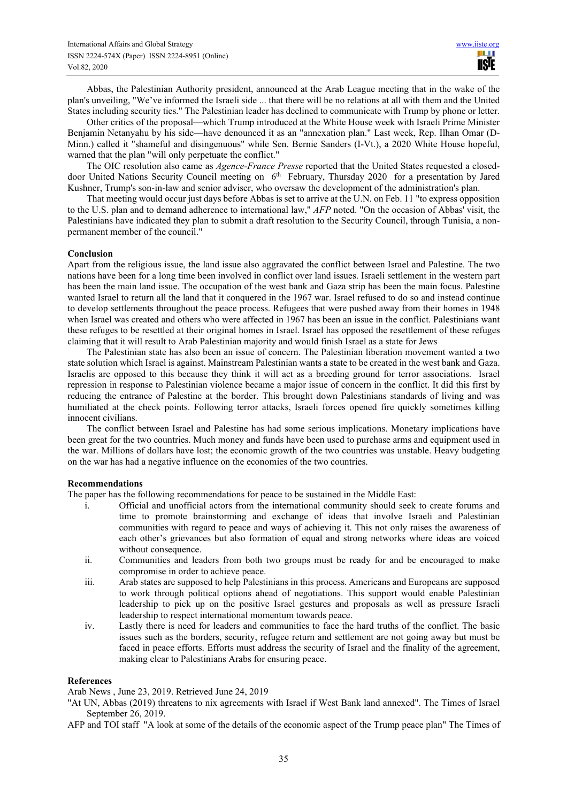Abbas, the Palestinian Authority president, announced at the Arab League meeting that in the wake of the plan's unveiling, "We've informed the Israeli side ... that there will be no relations at all with them and the United States including security ties." The Palestinian leader has declined to communicate with Trump by phone or letter.

Other critics of the proposal—which Trump introduced at the White House week with Israeli Prime Minister Benjamin Netanyahu by his side—have denounced it as an "annexation plan." Last week, Rep. Ilhan Omar (D-Minn.) called it "shameful and disingenuous" while Sen. Bernie Sanders (I-Vt.), a 2020 White House hopeful, warned that the plan "will only perpetuate the conflict."

The OIC resolution also came as *Agence-France Presse* reported that the United States requested a closeddoor United Nations Security Council meeting on 6<sup>th</sup> February, Thursday 2020 for a presentation by Jared Kushner, Trump's son-in-law and senior adviser, who oversaw the development of the administration's plan.

That meeting would occur just days before Abbas is set to arrive at the U.N. on Feb. 11 "to express opposition to the U.S. plan and to demand adherence to international law," *AFP* noted. "On the occasion of Abbas' visit, the Palestinians have indicated they plan to submit a draft resolution to the Security Council, through Tunisia, a nonpermanent member of the council."

# **Conclusion**

Apart from the religious issue, the land issue also aggravated the conflict between Israel and Palestine. The two nations have been for a long time been involved in conflict over land issues. Israeli settlement in the western part has been the main land issue. The occupation of the west bank and Gaza strip has been the main focus. Palestine wanted Israel to return all the land that it conquered in the 1967 war. Israel refused to do so and instead continue to develop settlements throughout the peace process. Refugees that were pushed away from their homes in 1948 when Israel was created and others who were affected in 1967 has been an issue in the conflict. Palestinians want these refuges to be resettled at their original homes in Israel. Israel has opposed the resettlement of these refuges claiming that it will result to Arab Palestinian majority and would finish Israel as a state for Jews

The Palestinian state has also been an issue of concern. The Palestinian liberation movement wanted a two state solution which Israel is against. Mainstream Palestinian wants a state to be created in the west bank and Gaza. Israelis are opposed to this because they think it will act as a breeding ground for terror associations. Israel repression in response to Palestinian violence became a major issue of concern in the conflict. It did this first by reducing the entrance of Palestine at the border. This brought down Palestinians standards of living and was humiliated at the check points. Following terror attacks, Israeli forces opened fire quickly sometimes killing innocent civilians.

The conflict between Israel and Palestine has had some serious implications. Monetary implications have been great for the two countries. Much money and funds have been used to purchase arms and equipment used in the war. Millions of dollars have lost; the economic growth of the two countries was unstable. Heavy budgeting on the war has had a negative influence on the economies of the two countries.

# **Recommendations**

The paper has the following recommendations for peace to be sustained in the Middle East:

- i. Official and unofficial actors from the international community should seek to create forums and time to promote brainstorming and exchange of ideas that involve Israeli and Palestinian communities with regard to peace and ways of achieving it. This not only raises the awareness of each other's grievances but also formation of equal and strong networks where ideas are voiced without consequence.
- ii. Communities and leaders from both two groups must be ready for and be encouraged to make compromise in order to achieve peace.
- iii. Arab states are supposed to help Palestinians in this process. Americans and Europeans are supposed to work through political options ahead of negotiations. This support would enable Palestinian leadership to pick up on the positive Israel gestures and proposals as well as pressure Israeli leadership to respect international momentum towards peace.
- iv. Lastly there is need for leaders and communities to face the hard truths of the conflict. The basic issues such as the borders, security, refugee return and settlement are not going away but must be faced in peace efforts. Efforts must address the security of Israel and the finality of the agreement, making clear to Palestinians Arabs for ensuring peace.

# **References**

Arab News , June 23, 2019. Retrieved June 24, 2019

- "At UN, Abbas (2019) threatens to nix agreements with Israel if West Bank land annexed". The Times of Israel September 26, 2019.
- AFP and TOI staff "A look at some of the details of the economic aspect of the Trump peace plan" The Times of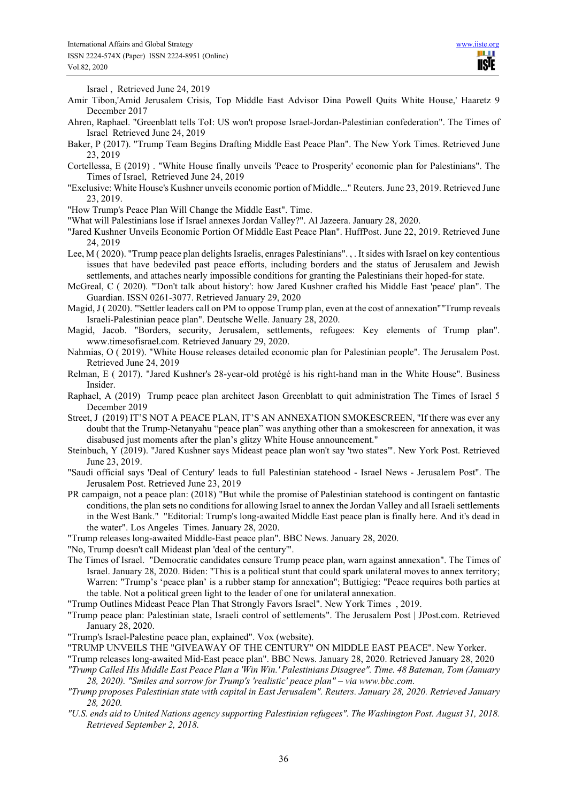Israel , Retrieved June 24, 2019

- Amir Tibon,'Amid Jerusalem Crisis, Top Middle East Advisor Dina Powell Quits White House,' Haaretz 9 December 2017
- Ahren, Raphael. "Greenblatt tells ToI: US won't propose Israel-Jordan-Palestinian confederation". The Times of Israel Retrieved June 24, 2019
- Baker, P (2017). "Trump Team Begins Drafting Middle East Peace Plan". The New York Times. Retrieved June 23, 2019
- Cortellessa, E (2019) . "White House finally unveils 'Peace to Prosperity' economic plan for Palestinians". The Times of Israel, Retrieved June 24, 2019
- "Exclusive: White House's Kushner unveils economic portion of Middle..." Reuters. June 23, 2019. Retrieved June 23, 2019.
- "How Trump's Peace Plan Will Change the Middle East". Time.
- "What will Palestinians lose if Israel annexes Jordan Valley?". Al Jazeera. January 28, 2020.
- "Jared Kushner Unveils Economic Portion Of Middle East Peace Plan". HuffPost. June 22, 2019. Retrieved June 24, 2019
- Lee, M ( 2020). "Trump peace plan delights Israelis, enrages Palestinians". , . It sides with Israel on key contentious issues that have bedeviled past peace efforts, including borders and the status of Jerusalem and Jewish settlements, and attaches nearly impossible conditions for granting the Palestinians their hoped-for state.
- McGreal, C ( 2020). "'Don't talk about history': how Jared Kushner crafted his Middle East 'peace' plan". The Guardian. ISSN 0261-3077. Retrieved January 29, 2020
- Magid, J ( 2020). "'Settler leaders call on PM to oppose Trump plan, even at the cost of annexation""Trump reveals Israeli-Palestinian peace plan". Deutsche Welle. January 28, 2020.
- Magid, Jacob. "Borders, security, Jerusalem, settlements, refugees: Key elements of Trump plan". www.timesofisrael.com. Retrieved January 29, 2020.
- Nahmias, O ( 2019). "White House releases detailed economic plan for Palestinian people". The Jerusalem Post. Retrieved June 24, 2019
- Relman, E ( 2017). "Jared Kushner's 28-year-old protégé is his right-hand man in the White House". Business Insider.
- Raphael, A (2019) Trump peace plan architect Jason Greenblatt to quit administration The Times of Israel 5 December 2019
- Street, J (2019) IT'S NOT A PEACE PLAN, IT'S AN ANNEXATION SMOKESCREEN, "If there was ever any doubt that the Trump-Netanyahu "peace plan" was anything other than a smokescreen for annexation, it was disabused just moments after the plan's glitzy White House announcement."
- Steinbuch, Y (2019). "Jared Kushner says Mideast peace plan won't say 'two states'". New York Post. Retrieved June 23, 2019.
- "Saudi official says 'Deal of Century' leads to full Palestinian statehood Israel News Jerusalem Post". The Jerusalem Post. Retrieved June 23, 2019
- PR campaign, not a peace plan: (2018) "But while the promise of Palestinian statehood is contingent on fantastic conditions, the plan sets no conditions for allowing Israel to annex the Jordan Valley and all Israeli settlements in the West Bank." "Editorial: Trump's long-awaited Middle East peace plan is finally here. And it's dead in the water". Los Angeles Times. January 28, 2020.
- "Trump releases long-awaited Middle-East peace plan". BBC News. January 28, 2020.
- "No, Trump doesn't call Mideast plan 'deal of the century'".
- The Times of Israel. "Democratic candidates censure Trump peace plan, warn against annexation". The Times of Israel. January 28, 2020. Biden: "This is a political stunt that could spark unilateral moves to annex territory; Warren: "Trump's 'peace plan' is a rubber stamp for annexation"; Buttigieg: "Peace requires both parties at the table. Not a political green light to the leader of one for unilateral annexation.
- "Trump Outlines Mideast Peace Plan That Strongly Favors Israel". New York Times , 2019.
- "Trump peace plan: Palestinian state, Israeli control of settlements". The Jerusalem Post | JPost.com. Retrieved January 28, 2020.
- "Trump's Israel-Palestine peace plan, explained". Vox (website).
- "TRUMP UNVEILS THE "GIVEAWAY OF THE CENTURY" ON MIDDLE EAST PEACE". New Yorker.
- "Trump releases long-awaited Mid-East peace plan". BBC News. January 28, 2020. Retrieved January 28, 2020
- *"Trump Called His Middle East Peace Plan a 'Win Win.' Palestinians Disagree". Time. 48 Bateman, Tom (January 28, 2020). "Smiles and sorrow for Trump's 'realistic' peace plan" – via www.bbc.com.*
- *"Trump proposes Palestinian state with capital in East Jerusalem". Reuters. January 28, 2020. Retrieved January 28, 2020.*
- *"U.S. ends aid to United Nations agency supporting Palestinian refugees". The Washington Post. August 31, 2018. Retrieved September 2, 2018.*